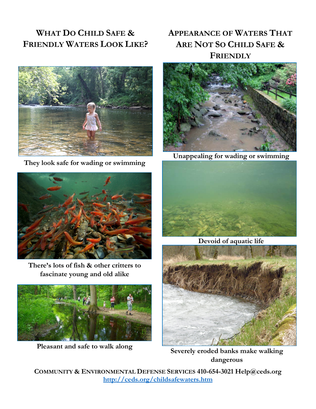# **WHAT DO CHILD SAFE & FRIENDLY WATERS LOOK LIKE?**

# **APPEARANCE OF WATERS THAT ARE NOT SO CHILD SAFE & FRIENDLY**



**They look safe for wading or swimming**



**There's lots of fish & other critters to fascinate young and old alike**



**Pleasant and safe to walk along**



**Unappealing for wading or swimming**



**Devoid of aquatic life**



**Severely eroded banks make walking dangerous**

**COMMUNITY & ENVIRONMENTAL DEFENSE SERVICES 410-654-3021 Help@ceds.org <http://ceds.org/childsafewaters.htm>**